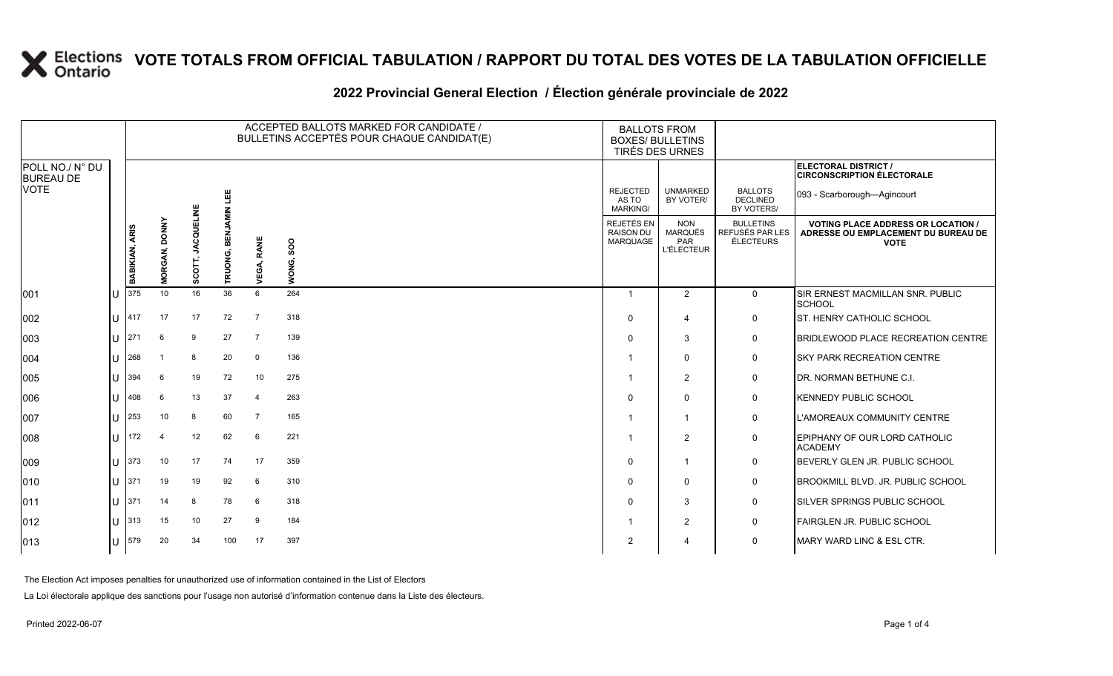### **2022 Provincial General Election / Élection générale provinciale de 2022**

|                                     |  |                |                                |                       |                            |                         | ACCEPTED BALLOTS MARKED FOR CANDIDATE /<br>BULLETINS ACCEPTÉS POUR CHAQUE CANDIDAT(E) | <b>BALLOTS FROM</b><br><b>BOXES/ BULLETINS</b><br>TIRÉS DES URNES |                                                          |                                                         |                                                                                                 |
|-------------------------------------|--|----------------|--------------------------------|-----------------------|----------------------------|-------------------------|---------------------------------------------------------------------------------------|-------------------------------------------------------------------|----------------------------------------------------------|---------------------------------------------------------|-------------------------------------------------------------------------------------------------|
| POLL NO./ N° DU<br><b>BUREAU DE</b> |  |                |                                |                       |                            |                         |                                                                                       |                                                                   |                                                          |                                                         | <b>ELECTORAL DISTRICT /</b><br><b>CIRCONSCRIPTION ÉLECTORALE</b>                                |
| <b>VOTE</b>                         |  |                |                                |                       | 삠                          |                         |                                                                                       | <b>REJECTED</b><br>AS TO<br><b>MARKING/</b>                       | <b>UNMARKED</b><br>BY VOTER/                             | <b>BALLOTS</b><br><b>DECLINED</b><br>BY VOTERS/         | 093 - Scarborough-Agincourt                                                                     |
|                                     |  | BABIKIAN, ARIS | <b>DONNY</b><br><b>MORGAN,</b> | T, JACQUELINE<br>SCOT | <b>BENJAMIN</b><br>TRUONG, | RANE<br>VEGA,           | ${\sf soo}$<br>WONG,                                                                  | REJETÉS EN<br><b>RAISON DU</b><br>MARQUAGE                        | <b>NON</b><br><b>MARQUÉS</b><br>PAR<br><b>L'ÉLECTEUR</b> | <b>BULLETINS</b><br>REFUSÉS PAR LES<br><b>ÉLECTEURS</b> | <b>VOTING PLACE ADDRESS OR LOCATION /</b><br>ADRESSE OU EMPLACEMENT DU BUREAU DE<br><b>VOTE</b> |
| 001                                 |  | 375            | 10 <sup>1</sup>                | 16                    | 36                         | 6                       | 264                                                                                   | $\overline{1}$                                                    | 2                                                        | $\mathbf 0$                                             | SIR ERNEST MACMILLAN SNR. PUBLIC<br><b>SCHOOL</b>                                               |
| 002                                 |  | 417            | 17                             | 17                    | 72                         | $\overline{7}$          | 318                                                                                   | $\Omega$                                                          | $\overline{4}$                                           | 0                                                       | <b>ST. HENRY CATHOLIC SCHOOL</b>                                                                |
| 003                                 |  | 271            | 6                              | 9                     | 27                         | $\overline{7}$          | 139                                                                                   | $\Omega$                                                          | 3                                                        | 0                                                       | <b>BRIDLEWOOD PLACE RECREATION CENTRE</b>                                                       |
| 004                                 |  | 268            | -1                             | 8                     | 20                         | $\mathbf 0$             | 136                                                                                   |                                                                   | $\mathbf{0}$                                             | 0                                                       | <b>SKY PARK RECREATION CENTRE</b>                                                               |
| 005                                 |  | 394            | 6                              | 19                    | 72                         | 10                      | 275                                                                                   |                                                                   | 2                                                        | 0                                                       | DR. NORMAN BETHUNE C.I.                                                                         |
| 006                                 |  | 408            | 6                              | 13                    | 37                         | $\overline{\mathbf{4}}$ | 263                                                                                   | $\Omega$                                                          | $\mathbf{0}$                                             | 0                                                       | <b>KENNEDY PUBLIC SCHOOL</b>                                                                    |
| 007                                 |  | 253            | 10                             | 8                     | 60                         | $\overline{7}$          | 165                                                                                   |                                                                   | -1                                                       | 0                                                       | L'AMOREAUX COMMUNITY CENTRE                                                                     |
| 008                                 |  | 172            | $\overline{4}$                 | 12                    | 62                         | 6                       | 221                                                                                   |                                                                   | $\overline{2}$                                           | 0                                                       | EPIPHANY OF OUR LORD CATHOLIC<br><b>ACADEMY</b>                                                 |
| 009                                 |  | 373            | 10                             | 17                    | 74                         | 17                      | 359                                                                                   | $\Omega$                                                          | $\mathbf{1}$                                             | 0                                                       | BEVERLY GLEN JR. PUBLIC SCHOOL                                                                  |
| 010                                 |  | 371            | 19                             | 19                    | 92                         | 6                       | 310                                                                                   | $\Omega$                                                          | $\mathbf 0$                                              | 0                                                       | <b>BROOKMILL BLVD. JR. PUBLIC SCHOOL</b>                                                        |
| 011                                 |  | 371            | 14                             | 8                     | 78                         | 6                       | 318                                                                                   | $\Omega$                                                          | 3                                                        | 0                                                       | SILVER SPRINGS PUBLIC SCHOOL                                                                    |
| 012                                 |  | 313            | 15                             | 10                    | 27                         | 9                       | 184                                                                                   |                                                                   | $\overline{2}$                                           | 0                                                       | FAIRGLEN JR. PUBLIC SCHOOL                                                                      |
| 013                                 |  | 579            | 20                             | 34                    | 100                        | 17                      | 397                                                                                   | $\overline{2}$                                                    | $\boldsymbol{4}$                                         | 0                                                       | MARY WARD LINC & ESL CTR.                                                                       |

The Election Act imposes penalties for unauthorized use of information contained in the List of Electors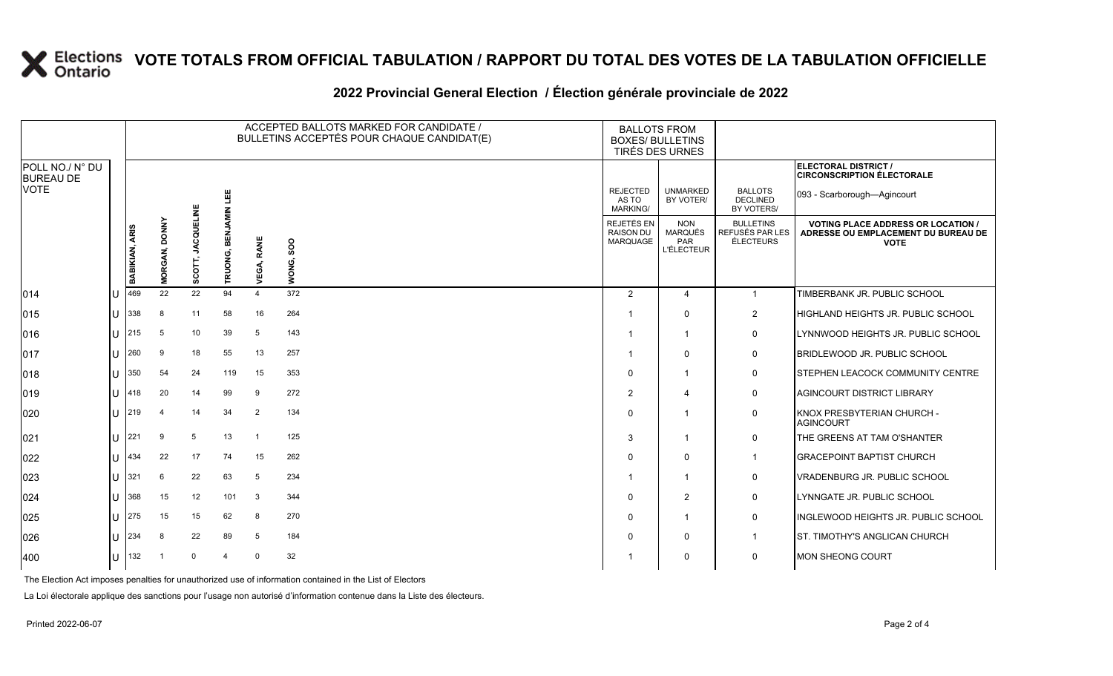#### **2022 Provincial General Election / Élection générale provinciale de 2022**

|                                     |                       |                                |                        |                  |                   | ACCEPTED BALLOTS MARKED FOR CANDIDATE /<br>BULLETINS ACCEPTÉS POUR CHAQUE CANDIDAT(E) | <b>BALLOTS FROM</b><br><b>BOXES/ BULLETINS</b><br>TIRÉS DES URNES |                                                   |                                                         |                                                                                                 |
|-------------------------------------|-----------------------|--------------------------------|------------------------|------------------|-------------------|---------------------------------------------------------------------------------------|-------------------------------------------------------------------|---------------------------------------------------|---------------------------------------------------------|-------------------------------------------------------------------------------------------------|
| POLL NO./ N° DU<br><b>BUREAU DE</b> |                       |                                |                        |                  |                   |                                                                                       |                                                                   |                                                   |                                                         | ELECTORAL DISTRICT /<br><b>CIRCONSCRIPTION ÉLECTORALE</b>                                       |
| <b>VOTE</b>                         |                       |                                |                        | 삠                |                   |                                                                                       | <b>REJECTED</b><br>AS TO<br><b>MARKING/</b>                       | <b>UNMARKED</b><br>BY VOTER/                      | <b>BALLOTS</b><br><b>DECLINED</b><br>BY VOTERS/         | 093 - Scarborough-Agincourt                                                                     |
|                                     | <b>BABIKIAN, ARIS</b> | <b>DONNY</b><br><b>MORGAN,</b> | <b>JACQUE</b><br>SCOTT | BENJAI<br>RUONG, | <b>VEGA, RANE</b> | SOO<br>WONG,                                                                          | REJETÉS EN<br><b>RAISON DU</b><br>MARQUAGE                        | <b>NON</b><br>MARQUÉS<br>PAR<br><b>L'ÉLECTEUR</b> | <b>BULLETINS</b><br><b>REFUSÉS PAR LES</b><br>ÉLECTEURS | <b>VOTING PLACE ADDRESS OR LOCATION /</b><br>ADRESSE OU EMPLACEMENT DU BUREAU DE<br><b>VOTE</b> |
| 014                                 | 469                   | 22                             | 22                     | 94               | $\overline{a}$    | 372                                                                                   | $\overline{2}$                                                    | $\overline{4}$                                    | $\mathbf{1}$                                            | TIMBERBANK JR. PUBLIC SCHOOL                                                                    |
| 015                                 | 338                   | 8                              | 11                     | 58               | 16                | 264                                                                                   | -1                                                                | $\mathbf 0$                                       | $\overline{2}$                                          | HIGHLAND HEIGHTS JR. PUBLIC SCHOOL                                                              |
| 016                                 | 215                   | 5                              | 10 <sup>°</sup>        | 39               | 5                 | 143                                                                                   | -1                                                                | 1                                                 | 0                                                       | LYNNWOOD HEIGHTS JR. PUBLIC SCHOOL                                                              |
| 017                                 | 260                   | 9                              | 18                     | 55               | 13                | 257                                                                                   | -1                                                                | $\mathbf{0}$                                      | 0                                                       | BRIDLEWOOD JR. PUBLIC SCHOOL                                                                    |
| 018                                 | 350                   | 54                             | 24                     | 119              | 15                | 353                                                                                   | 0                                                                 | 1                                                 | 0                                                       | <b>STEPHEN LEACOCK COMMUNITY CENTRE</b>                                                         |
| 019                                 | 418                   | 20                             | 14                     | 99               | 9                 | 272                                                                                   | $\overline{2}$                                                    | 4                                                 | 0                                                       | <b>AGINCOURT DISTRICT LIBRARY</b>                                                               |
| 020                                 | II 1219               | $\overline{4}$                 | 14                     | 34               | $\overline{2}$    | 134                                                                                   | $\Omega$                                                          | 1                                                 | 0                                                       | KNOX PRESBYTERIAN CHURCH -<br><b>AGINCOURT</b>                                                  |
| 021                                 | 221                   | 9                              | 5                      | 13               | $\mathbf 1$       | 125                                                                                   | 3                                                                 | 1                                                 | 0                                                       | THE GREENS AT TAM O'SHANTER                                                                     |
| 022                                 | 434                   | 22                             | 17                     | 74               | 15                | 262                                                                                   | $\Omega$                                                          | $\mathbf{0}$                                      | $\mathbf{1}$                                            | <b>GRACEPOINT BAPTIST CHURCH</b>                                                                |
| 023                                 | 321                   | 6                              | 22                     | 63               | 5                 | 234                                                                                   | -1                                                                | 1                                                 | 0                                                       | <b>VRADENBURG JR. PUBLIC SCHOOL</b>                                                             |
| 024                                 | 368                   | 15                             | 12                     | 101              | 3                 | 344                                                                                   | $\Omega$                                                          | $\overline{2}$                                    | 0                                                       | LYNNGATE JR. PUBLIC SCHOOL                                                                      |
| 025                                 | 275                   | 15                             | 15                     | 62               | 8                 | 270                                                                                   | $\Omega$                                                          | 1                                                 | 0                                                       | <b>INGLEWOOD HEIGHTS JR. PUBLIC SCHOOL</b>                                                      |
| 026                                 | 234                   | 8                              | 22                     | 89               | 5                 | 184                                                                                   | $\Omega$                                                          | $\mathbf{0}$                                      | $\mathbf{1}$                                            | <b>ST. TIMOTHY'S ANGLICAN CHURCH</b>                                                            |
| 400                                 | 132                   | - 1                            | $\overline{0}$         | $\overline{4}$   | $\Omega$          | 32                                                                                    |                                                                   | $\Omega$                                          | 0                                                       | <b>MON SHEONG COURT</b>                                                                         |

The Election Act imposes penalties for unauthorized use of information contained in the List of Electors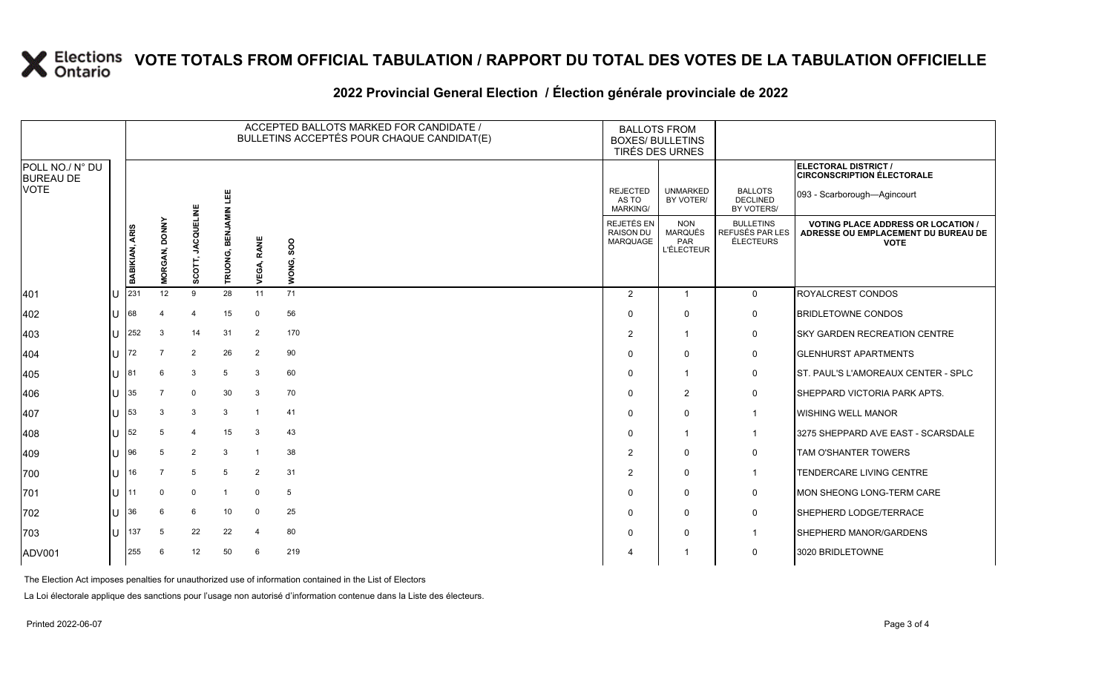### **2022 Provincial General Election / Élection générale provinciale de 2022**

|                                     |     |                       |                      |                            |                 |                | ACCEPTED BALLOTS MARKED FOR CANDIDATE /<br>BULLETINS ACCEPTÉS POUR CHAQUE CANDIDAT(E) | <b>BALLOTS FROM</b><br><b>BOXES/ BULLETINS</b><br>TIRÉS DES URNES |                                                          |                                                  |                                                                                                 |
|-------------------------------------|-----|-----------------------|----------------------|----------------------------|-----------------|----------------|---------------------------------------------------------------------------------------|-------------------------------------------------------------------|----------------------------------------------------------|--------------------------------------------------|-------------------------------------------------------------------------------------------------|
| POLL NO./ N° DU<br><b>BUREAU DE</b> |     |                       |                      |                            |                 |                |                                                                                       |                                                                   |                                                          |                                                  | <b>ELECTORAL DISTRICT /</b><br><b>CIRCONSCRIPTION ÉLECTORALE</b>                                |
| VOTE                                |     |                       |                      |                            | 삠               |                |                                                                                       | <b>REJECTED</b><br>AS TO<br><b>MARKING/</b>                       | <b>UNMARKED</b><br>BY VOTER/                             | <b>BALLOTS</b><br><b>DECLINED</b><br>BY VOTERS/  | 093 - Scarborough-Agincourt                                                                     |
|                                     |     | <b>BABIKIAN, ARIS</b> | <b>MORGAN, DONNY</b> | <b>JACQUELINI</b><br>SCOT, | BEN.<br>TRUONG, | RANE<br>VEGA,  | SOO<br>WONG,                                                                          | REJETÉS EN<br><b>RAISON DU</b><br>MARQUAGE                        | <b>NON</b><br><b>MARQUÉS</b><br>PAR<br><b>L'ÉLECTEUR</b> | <b>BULLETINS</b><br>REFUSÉS PAR LES<br>ÉLECTEURS | <b>VOTING PLACE ADDRESS OR LOCATION /</b><br>ADRESSE OU EMPLACEMENT DU BUREAU DE<br><b>VOTE</b> |
| 401                                 | ΙU  | 231                   | 12                   | 9                          | 28              | 11             | 71                                                                                    | $\overline{2}$                                                    | $\mathbf{1}$                                             | $\mathbf 0$                                      | ROYALCREST CONDOS                                                                               |
| 402                                 | IU. | 68                    |                      | $\overline{4}$             | 15              | $\mathbf 0$    | 56                                                                                    | $\Omega$                                                          | $\Omega$                                                 | 0                                                | <b>BRIDLETOWNE CONDOS</b>                                                                       |
| 403                                 | IU. | 252                   | 3                    | 14                         | 31              | $\overline{2}$ | 170                                                                                   | $\overline{2}$                                                    | $\overline{1}$                                           | 0                                                | <b>SKY GARDEN RECREATION CENTRE</b>                                                             |
| 404                                 | lU  | 72                    | $\overline{7}$       | $\overline{2}$             | 26              | $\overline{2}$ | 90                                                                                    | $\Omega$                                                          | $\mathbf 0$                                              | $\mathbf 0$                                      | <b>GLENHURST APARTMENTS</b>                                                                     |
| 405                                 | IU. | 81                    | 6                    | 3                          | 5               | 3              | 60                                                                                    | $\Omega$                                                          | $\overline{1}$                                           | 0                                                | ST. PAUL'S L'AMOREAUX CENTER - SPLC                                                             |
| 406                                 | lU  | 35                    | -7                   | 0                          | 30              | 3              | 70                                                                                    | $\Omega$                                                          | $\overline{2}$                                           | 0                                                | SHEPPARD VICTORIA PARK APTS.                                                                    |
| 407                                 | lU  | 53                    | 3                    | 3                          | 3               | $\overline{1}$ | 41                                                                                    | $\Omega$                                                          | $\mathbf 0$                                              | $\mathbf{1}$                                     | <b>WISHING WELL MANOR</b>                                                                       |
| 408                                 | IU  | 52                    | 5                    | $\overline{4}$             | 15              | 3              | 43                                                                                    | $\Omega$                                                          | $\overline{1}$                                           | $\mathbf{1}$                                     | 3275 SHEPPARD AVE EAST - SCARSDALE                                                              |
| 409                                 | ΙU  | 96                    |                      | $\overline{2}$             | 3               | $\overline{1}$ | 38                                                                                    | $\overline{2}$                                                    | 0                                                        | 0                                                | TAM O'SHANTER TOWERS                                                                            |
| 700                                 | ΙU  | 16                    | $\overline{7}$       | 5                          | 5               | $\overline{2}$ | 31                                                                                    | $\overline{2}$                                                    | $\mathbf 0$                                              | $\mathbf{1}$                                     | TENDERCARE LIVING CENTRE                                                                        |
| 701                                 | IU  | 11                    | 0                    | $\mathbf 0$                |                 | $\mathbf 0$    | 5                                                                                     | $\Omega$                                                          | $\mathbf 0$                                              | 0                                                | MON SHEONG LONG-TERM CARE                                                                       |
| 702                                 | ΙU  | 36                    | 6                    | 6                          | 10              | $\mathbf 0$    | 25                                                                                    | $\Omega$                                                          | 0                                                        | 0                                                | SHEPHERD LODGE/TERRACE                                                                          |
| 703                                 | IП  | 137                   | 5                    | 22                         | 22              | $\overline{4}$ | 80                                                                                    | $\Omega$                                                          | $\mathbf 0$                                              | $\overline{1}$                                   | SHEPHERD MANOR/GARDENS                                                                          |
| ADV001                              |     | 255                   | 6                    | 12                         | 50              | 6              | 219                                                                                   |                                                                   | -1                                                       | 0                                                | 3020 BRIDLETOWNE                                                                                |

The Election Act imposes penalties for unauthorized use of information contained in the List of Electors